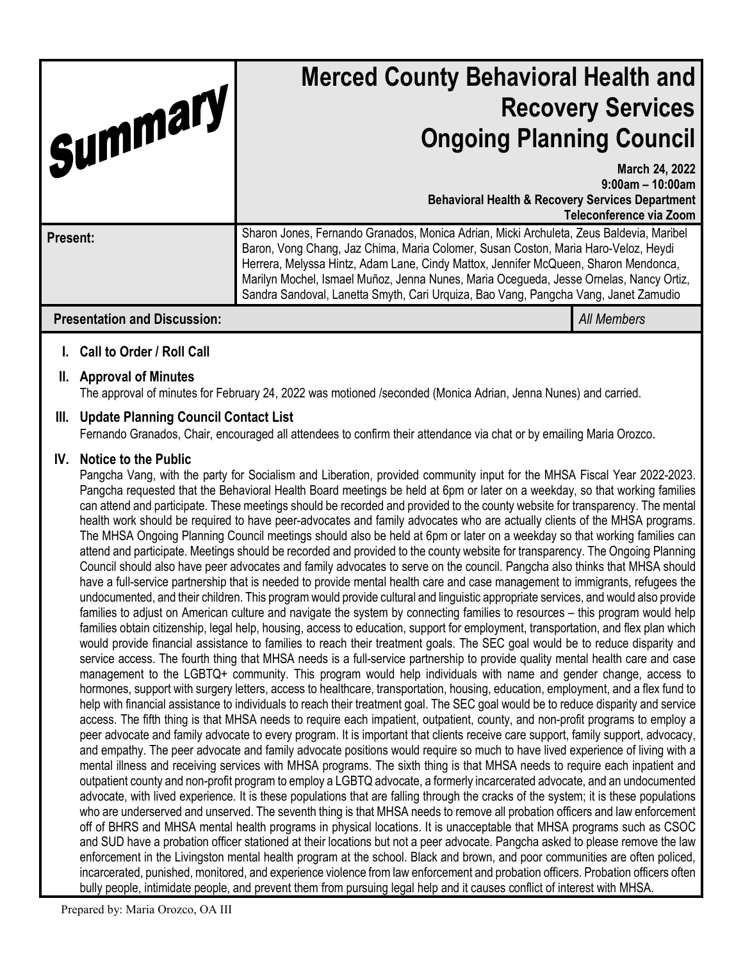| Summary                             | <b>Merced County Behavioral Health and</b><br><b>Recovery Services</b><br><b>Ongoing Planning Council</b>                                                                                                                                                                                                                                                                                                                                             |                                                                 |
|-------------------------------------|-------------------------------------------------------------------------------------------------------------------------------------------------------------------------------------------------------------------------------------------------------------------------------------------------------------------------------------------------------------------------------------------------------------------------------------------------------|-----------------------------------------------------------------|
|                                     | <b>Behavioral Health &amp; Recovery Services Department</b>                                                                                                                                                                                                                                                                                                                                                                                           | March 24, 2022<br>$9:00am - 10:00am$<br>Teleconference via Zoom |
| Present:                            | Sharon Jones, Fernando Granados, Monica Adrian, Micki Archuleta, Zeus Baldevia, Maribel<br>Baron, Vong Chang, Jaz Chima, Maria Colomer, Susan Coston, Maria Haro-Veloz, Heydi<br>Herrera, Melyssa Hintz, Adam Lane, Cindy Mattox, Jennifer McQueen, Sharon Mendonca,<br>Marilyn Mochel, Ismael Muñoz, Jenna Nunes, Maria Ocegueda, Jesse Ornelas, Nancy Ortiz,<br>Sandra Sandoval, Lanetta Smyth, Cari Urquiza, Bao Vang, Pangcha Vang, Janet Zamudio |                                                                 |
| <b>Presentation and Discussion:</b> |                                                                                                                                                                                                                                                                                                                                                                                                                                                       | <b>All Members</b>                                              |

# **I. Call to Order / Roll Call**

#### **II. Approval of Minutes**

The approval of minutes for February 24, 2022 was motioned /seconded (Monica Adrian, Jenna Nunes) and carried.

### **III. Update Planning Council Contact List**

Fernando Granados, Chair, encouraged all attendees to confirm their attendance via chat or by emailing Maria Orozco.

#### **IV. Notice to the Public**

Pangcha Vang, with the party for Socialism and Liberation, provided community input for the MHSA Fiscal Year 2022-2023. Pangcha requested that the Behavioral Health Board meetings be held at 6pm or later on a weekday, so that working families can attend and participate. These meetings should be recorded and provided to the county website for transparency. The mental health work should be required to have peer-advocates and family advocates who are actually clients of the MHSA programs. The MHSA Ongoing Planning Council meetings should also be held at 6pm or later on a weekday so that working families can attend and participate. Meetings should be recorded and provided to the county website for transparency. The Ongoing Planning Council should also have peer advocates and family advocates to serve on the council. Pangcha also thinks that MHSA should have a full-service partnership that is needed to provide mental health care and case management to immigrants, refugees the undocumented, and their children. This program would provide cultural and linguistic appropriate services, and would also provide families to adjust on American culture and navigate the system by connecting families to resources – this program would help families obtain citizenship, legal help, housing, access to education, support for employment, transportation, and flex plan which would provide financial assistance to families to reach their treatment goals. The SEC goal would be to reduce disparity and service access. The fourth thing that MHSA needs is a full-service partnership to provide quality mental health care and case management to the LGBTQ+ community. This program would help individuals with name and gender change, access to hormones, support with surgery letters, access to healthcare, transportation, housing, education, employment, and a flex fund to help with financial assistance to individuals to reach their treatment goal. The SEC goal would be to reduce disparity and service access. The fifth thing is that MHSA needs to require each impatient, outpatient, county, and non-profit programs to employ a peer advocate and family advocate to every program. It is important that clients receive care support, family support, advocacy, and empathy. The peer advocate and family advocate positions would require so much to have lived experience of living with a mental illness and receiving services with MHSA programs. The sixth thing is that MHSA needs to require each inpatient and outpatient county and non-profit program to employ a LGBTQ advocate, a formerly incarcerated advocate, and an undocumented advocate, with lived experience. It is these populations that are falling through the cracks of the system; it is these populations who are underserved and unserved. The seventh thing is that MHSA needs to remove all probation officers and law enforcement off of BHRS and MHSA mental health programs in physical locations. It is unacceptable that MHSA programs such as CSOC and SUD have a probation officer stationed at their locations but not a peer advocate. Pangcha asked to please remove the law enforcement in the Livingston mental health program at the school. Black and brown, and poor communities are often policed, incarcerated, punished, monitored, and experience violence from law enforcement and probation officers. Probation officers often bully people, intimidate people, and prevent them from pursuing legal help and it causes conflict of interest with MHSA.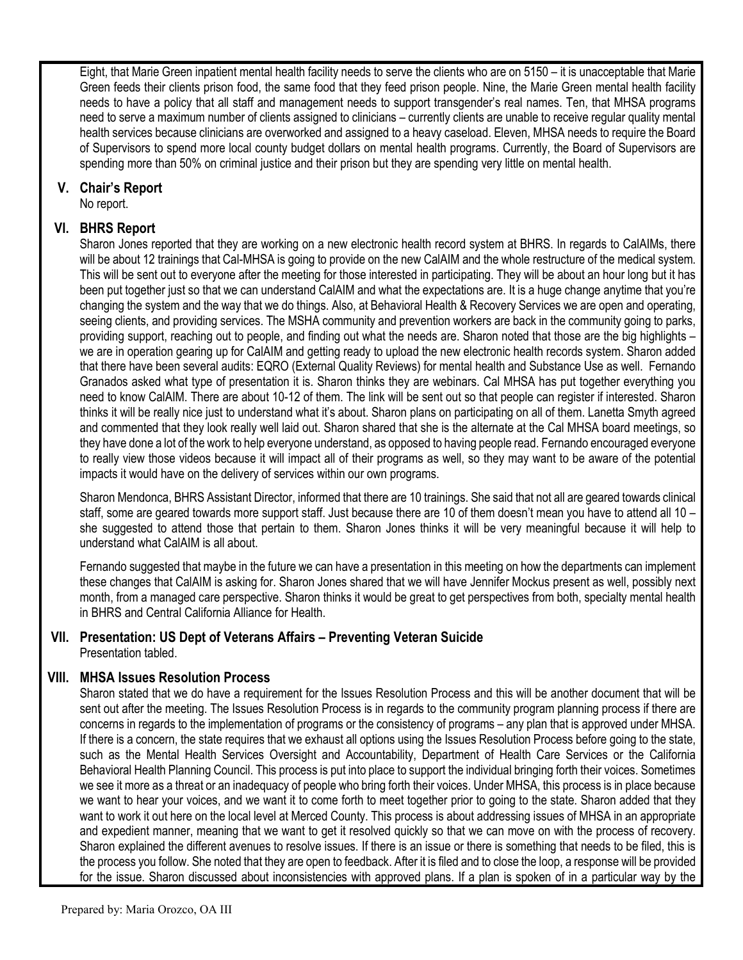Eight, that Marie Green inpatient mental health facility needs to serve the clients who are on 5150 – it is unacceptable that Marie Green feeds their clients prison food, the same food that they feed prison people. Nine, the Marie Green mental health facility needs to have a policy that all staff and management needs to support transgender's real names. Ten, that MHSA programs need to serve a maximum number of clients assigned to clinicians – currently clients are unable to receive regular quality mental health services because clinicians are overworked and assigned to a heavy caseload. Eleven, MHSA needs to require the Board of Supervisors to spend more local county budget dollars on mental health programs. Currently, the Board of Supervisors are spending more than 50% on criminal justice and their prison but they are spending very little on mental health.

# **V. Chair's Report**

No report.

# **VI. BHRS Report**

Sharon Jones reported that they are working on a new electronic health record system at BHRS. In regards to CalAIMs, there will be about 12 trainings that Cal-MHSA is going to provide on the new CalAIM and the whole restructure of the medical system. This will be sent out to everyone after the meeting for those interested in participating. They will be about an hour long but it has been put together just so that we can understand CalAIM and what the expectations are. It is a huge change anytime that you're changing the system and the way that we do things. Also, at Behavioral Health & Recovery Services we are open and operating, seeing clients, and providing services. The MSHA community and prevention workers are back in the community going to parks, providing support, reaching out to people, and finding out what the needs are. Sharon noted that those are the big highlights – we are in operation gearing up for CalAIM and getting ready to upload the new electronic health records system. Sharon added that there have been several audits: EQRO (External Quality Reviews) for mental health and Substance Use as well. Fernando Granados asked what type of presentation it is. Sharon thinks they are webinars. Cal MHSA has put together everything you need to know CalAIM. There are about 10-12 of them. The link will be sent out so that people can register if interested. Sharon thinks it will be really nice just to understand what it's about. Sharon plans on participating on all of them. Lanetta Smyth agreed and commented that they look really well laid out. Sharon shared that she is the alternate at the Cal MHSA board meetings, so they have done a lot of the work to help everyone understand, as opposed to having people read. Fernando encouraged everyone to really view those videos because it will impact all of their programs as well, so they may want to be aware of the potential impacts it would have on the delivery of services within our own programs.

Sharon Mendonca, BHRS Assistant Director, informed that there are 10 trainings. She said that not all are geared towards clinical staff, some are geared towards more support staff. Just because there are 10 of them doesn't mean you have to attend all 10 – she suggested to attend those that pertain to them. Sharon Jones thinks it will be very meaningful because it will help to understand what CalAIM is all about.

Fernando suggested that maybe in the future we can have a presentation in this meeting on how the departments can implement these changes that CalAIM is asking for. Sharon Jones shared that we will have Jennifer Mockus present as well, possibly next month, from a managed care perspective. Sharon thinks it would be great to get perspectives from both, specialty mental health in BHRS and Central California Alliance for Health.

#### **VII. Presentation: US Dept of Veterans Affairs – Preventing Veteran Suicide** Presentation tabled.

### **VIII. MHSA Issues Resolution Process**

Sharon stated that we do have a requirement for the Issues Resolution Process and this will be another document that will be sent out after the meeting. The Issues Resolution Process is in regards to the community program planning process if there are concerns in regards to the implementation of programs or the consistency of programs – any plan that is approved under MHSA. If there is a concern, the state requires that we exhaust all options using the Issues Resolution Process before going to the state, such as the Mental Health Services Oversight and Accountability, Department of Health Care Services or the California Behavioral Health Planning Council. This process is put into place to support the individual bringing forth their voices. Sometimes we see it more as a threat or an inadequacy of people who bring forth their voices. Under MHSA, this process is in place because we want to hear your voices, and we want it to come forth to meet together prior to going to the state. Sharon added that they want to work it out here on the local level at Merced County. This process is about addressing issues of MHSA in an appropriate and expedient manner, meaning that we want to get it resolved quickly so that we can move on with the process of recovery. Sharon explained the different avenues to resolve issues. If there is an issue or there is something that needs to be filed, this is the process you follow. She noted that they are open to feedback. After it is filed and to close the loop, a response will be provided for the issue. Sharon discussed about inconsistencies with approved plans. If a plan is spoken of in a particular way by the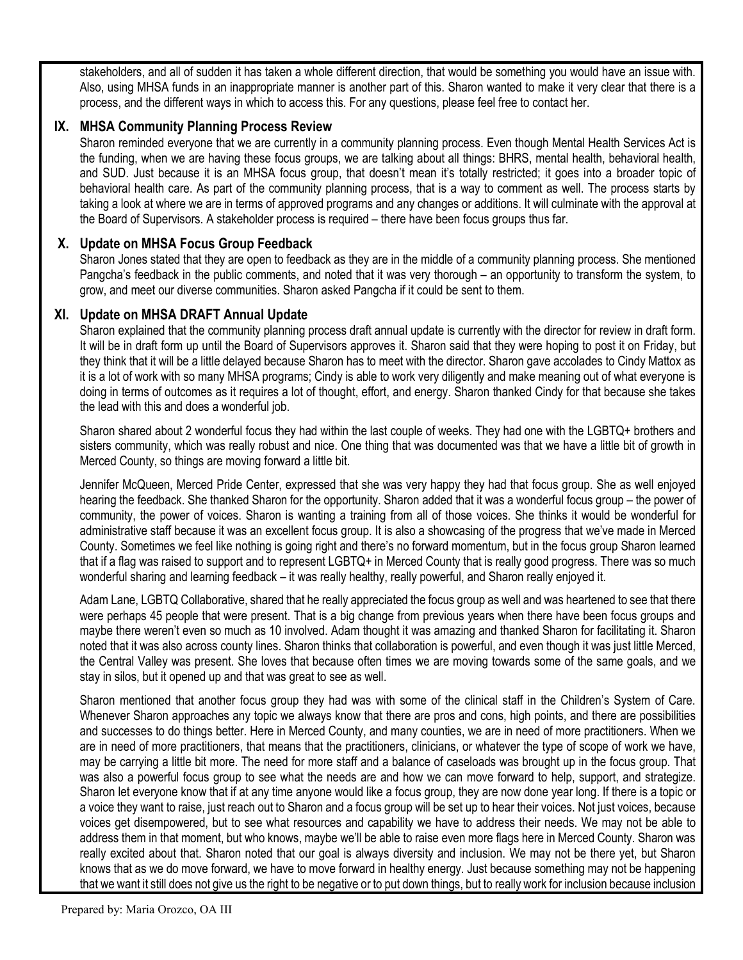stakeholders, and all of sudden it has taken a whole different direction, that would be something you would have an issue with. Also, using MHSA funds in an inappropriate manner is another part of this. Sharon wanted to make it very clear that there is a process, and the different ways in which to access this. For any questions, please feel free to contact her.

# **IX. MHSA Community Planning Process Review**

Sharon reminded everyone that we are currently in a community planning process. Even though Mental Health Services Act is the funding, when we are having these focus groups, we are talking about all things: BHRS, mental health, behavioral health, and SUD. Just because it is an MHSA focus group, that doesn't mean it's totally restricted; it goes into a broader topic of behavioral health care. As part of the community planning process, that is a way to comment as well. The process starts by taking a look at where we are in terms of approved programs and any changes or additions. It will culminate with the approval at the Board of Supervisors. A stakeholder process is required – there have been focus groups thus far.

# **X. Update on MHSA Focus Group Feedback**

Sharon Jones stated that they are open to feedback as they are in the middle of a community planning process. She mentioned Pangcha's feedback in the public comments, and noted that it was very thorough – an opportunity to transform the system, to grow, and meet our diverse communities. Sharon asked Pangcha if it could be sent to them.

### **XI. Update on MHSA DRAFT Annual Update**

Sharon explained that the community planning process draft annual update is currently with the director for review in draft form. It will be in draft form up until the Board of Supervisors approves it. Sharon said that they were hoping to post it on Friday, but they think that it will be a little delayed because Sharon has to meet with the director. Sharon gave accolades to Cindy Mattox as it is a lot of work with so many MHSA programs; Cindy is able to work very diligently and make meaning out of what everyone is doing in terms of outcomes as it requires a lot of thought, effort, and energy. Sharon thanked Cindy for that because she takes the lead with this and does a wonderful job.

Sharon shared about 2 wonderful focus they had within the last couple of weeks. They had one with the LGBTQ+ brothers and sisters community, which was really robust and nice. One thing that was documented was that we have a little bit of growth in Merced County, so things are moving forward a little bit.

Jennifer McQueen, Merced Pride Center, expressed that she was very happy they had that focus group. She as well enjoyed hearing the feedback. She thanked Sharon for the opportunity. Sharon added that it was a wonderful focus group – the power of community, the power of voices. Sharon is wanting a training from all of those voices. She thinks it would be wonderful for administrative staff because it was an excellent focus group. It is also a showcasing of the progress that we've made in Merced County. Sometimes we feel like nothing is going right and there's no forward momentum, but in the focus group Sharon learned that if a flag was raised to support and to represent LGBTQ+ in Merced County that is really good progress. There was so much wonderful sharing and learning feedback – it was really healthy, really powerful, and Sharon really enjoyed it.

Adam Lane, LGBTQ Collaborative, shared that he really appreciated the focus group as well and was heartened to see that there were perhaps 45 people that were present. That is a big change from previous years when there have been focus groups and maybe there weren't even so much as 10 involved. Adam thought it was amazing and thanked Sharon for facilitating it. Sharon noted that it was also across county lines. Sharon thinks that collaboration is powerful, and even though it was just little Merced, the Central Valley was present. She loves that because often times we are moving towards some of the same goals, and we stay in silos, but it opened up and that was great to see as well.

Sharon mentioned that another focus group they had was with some of the clinical staff in the Children's System of Care. Whenever Sharon approaches any topic we always know that there are pros and cons, high points, and there are possibilities and successes to do things better. Here in Merced County, and many counties, we are in need of more practitioners. When we are in need of more practitioners, that means that the practitioners, clinicians, or whatever the type of scope of work we have, may be carrying a little bit more. The need for more staff and a balance of caseloads was brought up in the focus group. That was also a powerful focus group to see what the needs are and how we can move forward to help, support, and strategize. Sharon let everyone know that if at any time anyone would like a focus group, they are now done year long. If there is a topic or a voice they want to raise, just reach out to Sharon and a focus group will be set up to hear their voices. Not just voices, because voices get disempowered, but to see what resources and capability we have to address their needs. We may not be able to address them in that moment, but who knows, maybe we'll be able to raise even more flags here in Merced County. Sharon was really excited about that. Sharon noted that our goal is always diversity and inclusion. We may not be there yet, but Sharon knows that as we do move forward, we have to move forward in healthy energy. Just because something may not be happening that we want it still does not give us the right to be negative or to put down things, but to really work for inclusion because inclusion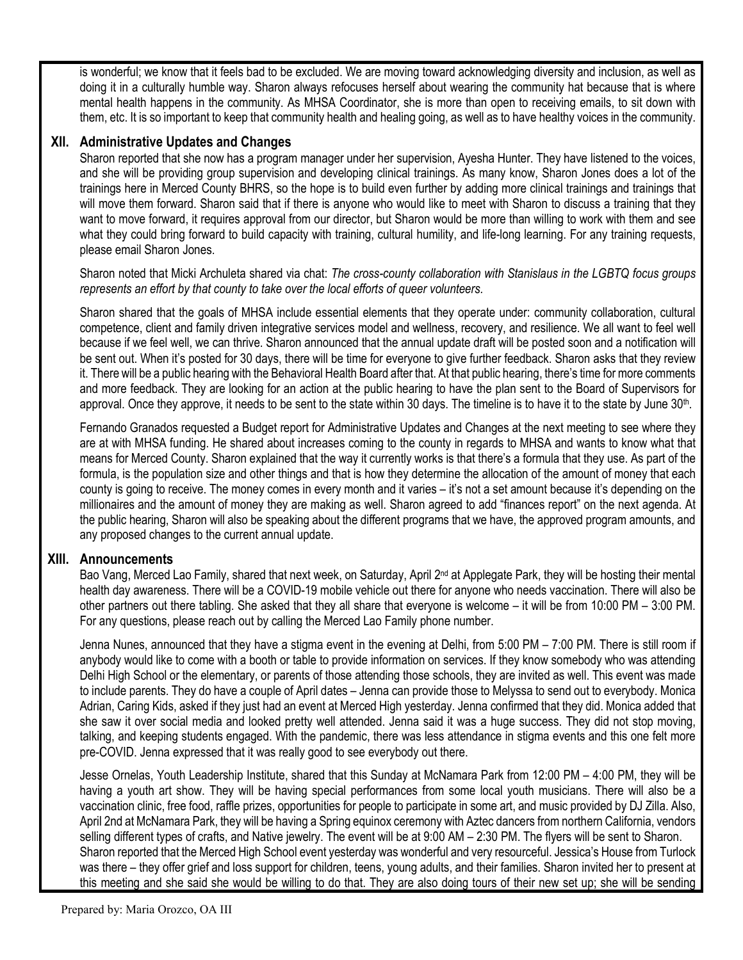is wonderful; we know that it feels bad to be excluded. We are moving toward acknowledging diversity and inclusion, as well as doing it in a culturally humble way. Sharon always refocuses herself about wearing the community hat because that is where mental health happens in the community. As MHSA Coordinator, she is more than open to receiving emails, to sit down with them, etc. It is so important to keep that community health and healing going, as well as to have healthy voices in the community.

### **XII. Administrative Updates and Changes**

Sharon reported that she now has a program manager under her supervision, Ayesha Hunter. They have listened to the voices, and she will be providing group supervision and developing clinical trainings. As many know, Sharon Jones does a lot of the trainings here in Merced County BHRS, so the hope is to build even further by adding more clinical trainings and trainings that will move them forward. Sharon said that if there is anyone who would like to meet with Sharon to discuss a training that they want to move forward, it requires approval from our director, but Sharon would be more than willing to work with them and see what they could bring forward to build capacity with training, cultural humility, and life-long learning. For any training requests, please email Sharon Jones.

Sharon noted that Micki Archuleta shared via chat: *The cross-county collaboration with Stanislaus in the LGBTQ focus groups represents an effort by that county to take over the local efforts of queer volunteers.*

Sharon shared that the goals of MHSA include essential elements that they operate under: community collaboration, cultural competence, client and family driven integrative services model and wellness, recovery, and resilience. We all want to feel well because if we feel well, we can thrive. Sharon announced that the annual update draft will be posted soon and a notification will be sent out. When it's posted for 30 days, there will be time for everyone to give further feedback. Sharon asks that they review it. There will be a public hearing with the Behavioral Health Board after that. At that public hearing, there's time for more comments and more feedback. They are looking for an action at the public hearing to have the plan sent to the Board of Supervisors for approval. Once they approve, it needs to be sent to the state within 30 days. The timeline is to have it to the state by June 30<sup>th</sup>.

Fernando Granados requested a Budget report for Administrative Updates and Changes at the next meeting to see where they are at with MHSA funding. He shared about increases coming to the county in regards to MHSA and wants to know what that means for Merced County. Sharon explained that the way it currently works is that there's a formula that they use. As part of the formula, is the population size and other things and that is how they determine the allocation of the amount of money that each county is going to receive. The money comes in every month and it varies – it's not a set amount because it's depending on the millionaires and the amount of money they are making as well. Sharon agreed to add "finances report" on the next agenda. At the public hearing, Sharon will also be speaking about the different programs that we have, the approved program amounts, and any proposed changes to the current annual update.

### **XIII. Announcements**

Bao Vang, Merced Lao Family, shared that next week, on Saturday, April 2<sup>nd</sup> at Applegate Park, they will be hosting their mental health day awareness. There will be a COVID-19 mobile vehicle out there for anyone who needs vaccination. There will also be other partners out there tabling. She asked that they all share that everyone is welcome – it will be from 10:00 PM – 3:00 PM. For any questions, please reach out by calling the Merced Lao Family phone number.

Jenna Nunes, announced that they have a stigma event in the evening at Delhi, from 5:00 PM – 7:00 PM. There is still room if anybody would like to come with a booth or table to provide information on services. If they know somebody who was attending Delhi High School or the elementary, or parents of those attending those schools, they are invited as well. This event was made to include parents. They do have a couple of April dates – Jenna can provide those to Melyssa to send out to everybody. Monica Adrian, Caring Kids, asked if they just had an event at Merced High yesterday. Jenna confirmed that they did. Monica added that she saw it over social media and looked pretty well attended. Jenna said it was a huge success. They did not stop moving, talking, and keeping students engaged. With the pandemic, there was less attendance in stigma events and this one felt more pre-COVID. Jenna expressed that it was really good to see everybody out there.

Jesse Ornelas, Youth Leadership Institute, shared that this Sunday at McNamara Park from 12:00 PM – 4:00 PM, they will be having a youth art show. They will be having special performances from some local youth musicians. There will also be a vaccination clinic, free food, raffle prizes, opportunities for people to participate in some art, and music provided by DJ Zilla. Also, April 2nd at McNamara Park, they will be having a Spring equinox ceremony with Aztec dancers from northern California, vendors selling different types of crafts, and Native jewelry. The event will be at 9:00 AM – 2:30 PM. The flyers will be sent to Sharon. Sharon reported that the Merced High School event yesterday was wonderful and very resourceful. Jessica's House from Turlock was there – they offer grief and loss support for children, teens, young adults, and their families. Sharon invited her to present at this meeting and she said she would be willing to do that. They are also doing tours of their new set up; she will be sending